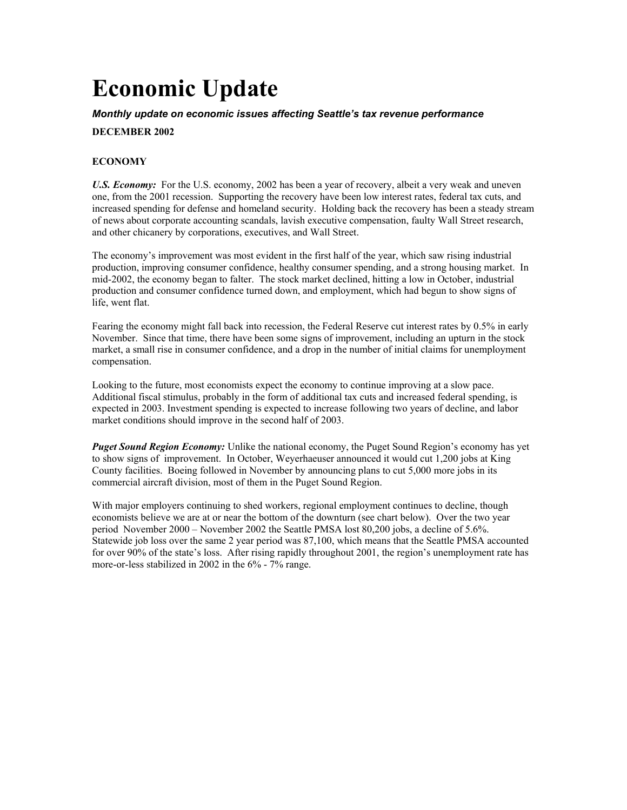# **Economic Update**

### *Monthly update on economic issues affecting Seattle's tax revenue performance*

## **DECEMBER 2002**

# **ECONOMY**

U.S. *Economy:* For the U.S. economy, 2002 has been a year of recovery, albeit a very weak and uneven one, from the 2001 recession. Supporting the recovery have been low interest rates, federal tax cuts, and increased spending for defense and homeland security. Holding back the recovery has been a steady stream of news about corporate accounting scandals, lavish executive compensation, faulty Wall Street research, and other chicanery by corporations, executives, and Wall Street.

The economy's improvement was most evident in the first half of the year, which saw rising industrial production, improving consumer confidence, healthy consumer spending, and a strong housing market. In mid-2002, the economy began to falter. The stock market declined, hitting a low in October, industrial production and consumer confidence turned down, and employment, which had begun to show signs of life, went flat.

Fearing the economy might fall back into recession, the Federal Reserve cut interest rates by 0.5% in early November. Since that time, there have been some signs of improvement, including an upturn in the stock market, a small rise in consumer confidence, and a drop in the number of initial claims for unemployment compensation.

Looking to the future, most economists expect the economy to continue improving at a slow pace. Additional fiscal stimulus, probably in the form of additional tax cuts and increased federal spending, is expected in 2003. Investment spending is expected to increase following two years of decline, and labor market conditions should improve in the second half of 2003.

*Puget Sound Region Economy:* Unlike the national economy, the Puget Sound Region's economy has yet to show signs of improvement. In October, Weyerhaeuser announced it would cut 1,200 jobs at King County facilities. Boeing followed in November by announcing plans to cut 5,000 more jobs in its commercial aircraft division, most of them in the Puget Sound Region.

With major employers continuing to shed workers, regional employment continues to decline, though economists believe we are at or near the bottom of the downturn (see chart below). Over the two year period November 2000 – November 2002 the Seattle PMSA lost 80,200 jobs, a decline of 5.6%. Statewide job loss over the same 2 year period was 87,100, which means that the Seattle PMSA accounted for over 90% of the state's loss. After rising rapidly throughout 2001, the region's unemployment rate has more-or-less stabilized in 2002 in the 6% - 7% range.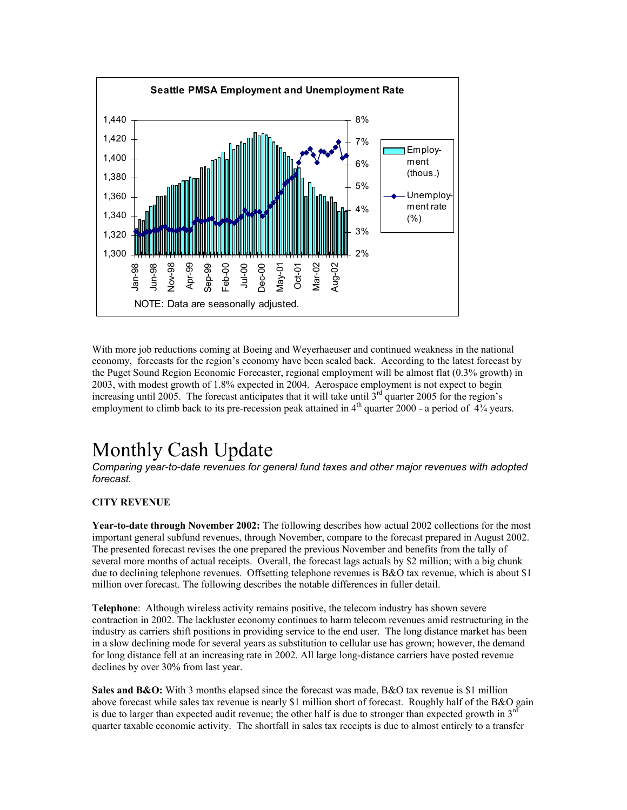

With more job reductions coming at Boeing and Weyerhaeuser and continued weakness in the national economy, forecasts for the region's economy have been scaled back. According to the latest forecast by the Puget Sound Region Economic Forecaster, regional employment will be almost flat (0.3% growth) in 2003, with modest growth of 1.8% expected in 2004. Aerospace employment is not expect to begin increasing until 2005. The forecast anticipates that it will take until  $3<sup>rd</sup>$  quarter 2005 for the region's employment to climb back to its pre-recession peak attained in  $4<sup>th</sup>$  quarter 2000 - a period of  $4<sup>3</sup>/<sub>4</sub>$  years.

# Monthly Cash Update

*Comparing year-to-date revenues for general fund taxes and other major revenues with adopted forecast.*

### **CITY REVENUE**

**Year-to-date through November 2002:** The following describes how actual 2002 collections for the most important general subfund revenues, through November, compare to the forecast prepared in August 2002. The presented forecast revises the one prepared the previous November and benefits from the tally of several more months of actual receipts. Overall, the forecast lags actuals by \$2 million; with a big chunk due to declining telephone revenues. Offsetting telephone revenues is B&O tax revenue, which is about \$1 million over forecast. The following describes the notable differences in fuller detail.

**Telephone**: Although wireless activity remains positive, the telecom industry has shown severe contraction in 2002. The lackluster economy continues to harm telecom revenues amid restructuring in the industry as carriers shift positions in providing service to the end user. The long distance market has been in a slow declining mode for several years as substitution to cellular use has grown; however, the demand for long distance fell at an increasing rate in 2002. All large long-distance carriers have posted revenue declines by over 30% from last year.

**Sales and B&O:** With 3 months elapsed since the forecast was made, B&O tax revenue is \$1 million above forecast while sales tax revenue is nearly \$1 million short of forecast. Roughly half of the B&O gain is due to larger than expected audit revenue; the other half is due to stronger than expected growth in  $3<sup>rd</sup>$ quarter taxable economic activity. The shortfall in sales tax receipts is due to almost entirely to a transfer